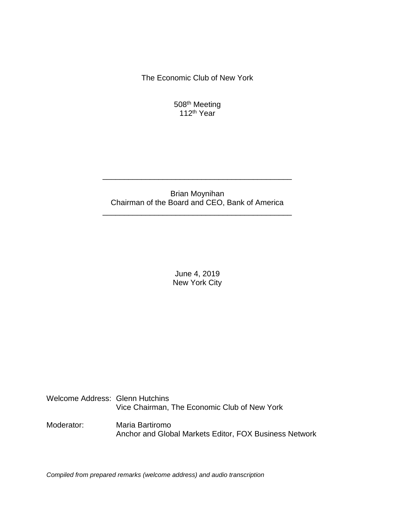The Economic Club of New York

508<sup>th</sup> Meeting 112<sup>th</sup> Year

# Brian Moynihan Chairman of the Board and CEO, Bank of America

\_\_\_\_\_\_\_\_\_\_\_\_\_\_\_\_\_\_\_\_\_\_\_\_\_\_\_\_\_\_\_\_\_\_\_\_\_\_\_\_\_\_\_\_

\_\_\_\_\_\_\_\_\_\_\_\_\_\_\_\_\_\_\_\_\_\_\_\_\_\_\_\_\_\_\_\_\_\_\_\_\_\_\_\_\_\_\_\_

June 4, 2019 New York City

Welcome Address: Glenn Hutchins Vice Chairman, The Economic Club of New York

Moderator: Maria Bartiromo Anchor and Global Markets Editor, FOX Business Network

*Compiled from prepared remarks (welcome address) and audio transcription*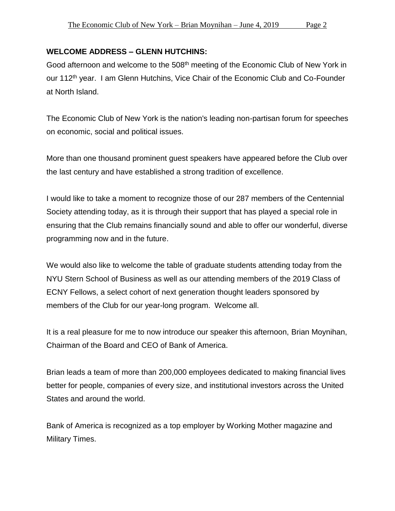### **WELCOME ADDRESS – GLENN HUTCHINS:**

Good afternoon and welcome to the 508<sup>th</sup> meeting of the Economic Club of New York in our 112<sup>th</sup> year. I am Glenn Hutchins, Vice Chair of the Economic Club and Co-Founder at North Island.

The Economic Club of New York is the nation's leading non-partisan forum for speeches on economic, social and political issues.

More than one thousand prominent guest speakers have appeared before the Club over the last century and have established a strong tradition of excellence.

I would like to take a moment to recognize those of our 287 members of the Centennial Society attending today, as it is through their support that has played a special role in ensuring that the Club remains financially sound and able to offer our wonderful, diverse programming now and in the future.

We would also like to welcome the table of graduate students attending today from the NYU Stern School of Business as well as our attending members of the 2019 Class of ECNY Fellows, a select cohort of next generation thought leaders sponsored by members of the Club for our year-long program. Welcome all.

It is a real pleasure for me to now introduce our speaker this afternoon, Brian Moynihan, Chairman of the Board and CEO of Bank of America.

Brian leads a team of more than 200,000 employees dedicated to making financial lives better for people, companies of every size, and institutional investors across the United States and around the world.

Bank of America is recognized as a top employer by Working Mother magazine and Military Times.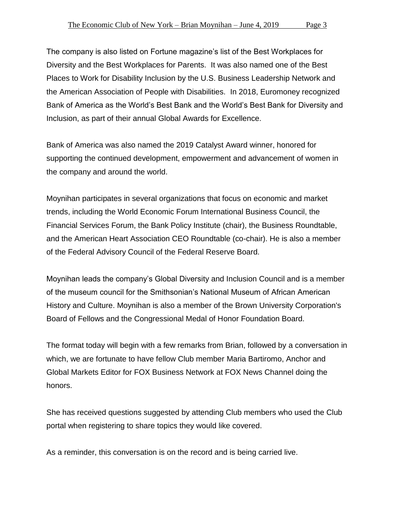The company is also listed on Fortune magazine's list of the Best Workplaces for Diversity and the Best Workplaces for Parents. It was also named one of the Best Places to Work for Disability Inclusion by the U.S. Business Leadership Network and the American Association of People with Disabilities. In 2018, Euromoney recognized Bank of America as the World's Best Bank and the World's Best Bank for Diversity and Inclusion, as part of their annual Global Awards for Excellence.

Bank of America was also named the 2019 Catalyst Award winner, honored for supporting the continued development, empowerment and advancement of women in the company and around the world.

Moynihan participates in several organizations that focus on economic and market trends, including the World Economic Forum International Business Council, the Financial Services Forum, the Bank Policy Institute (chair), the Business Roundtable, and the American Heart Association CEO Roundtable (co-chair). He is also a member of the Federal Advisory Council of the Federal Reserve Board.

Moynihan leads the company's Global Diversity and Inclusion Council and is a member of the museum council for the Smithsonian's National Museum of African American History and Culture. Moynihan is also a member of the Brown University Corporation's Board of Fellows and the Congressional Medal of Honor Foundation Board.

The format today will begin with a few remarks from Brian, followed by a conversation in which, we are fortunate to have fellow Club member Maria Bartiromo, Anchor and Global Markets Editor for FOX Business Network at FOX News Channel doing the honors.

She has received questions suggested by attending Club members who used the Club portal when registering to share topics they would like covered.

As a reminder, this conversation is on the record and is being carried live.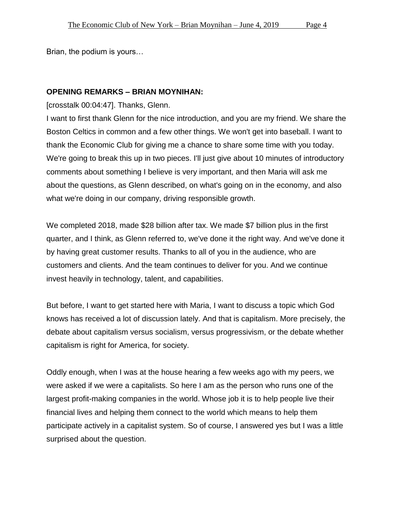Brian, the podium is yours…

### **OPENING REMARKS – BRIAN MOYNIHAN:**

[crosstalk 00:04:47]. Thanks, Glenn.

I want to first thank Glenn for the nice introduction, and you are my friend. We share the Boston Celtics in common and a few other things. We won't get into baseball. I want to thank the Economic Club for giving me a chance to share some time with you today. We're going to break this up in two pieces. I'll just give about 10 minutes of introductory comments about something I believe is very important, and then Maria will ask me about the questions, as Glenn described, on what's going on in the economy, and also what we're doing in our company, driving responsible growth.

We completed 2018, made \$28 billion after tax. We made \$7 billion plus in the first quarter, and I think, as Glenn referred to, we've done it the right way. And we've done it by having great customer results. Thanks to all of you in the audience, who are customers and clients. And the team continues to deliver for you. And we continue invest heavily in technology, talent, and capabilities.

But before, I want to get started here with Maria, I want to discuss a topic which God knows has received a lot of discussion lately. And that is capitalism. More precisely, the debate about capitalism versus socialism, versus progressivism, or the debate whether capitalism is right for America, for society.

Oddly enough, when I was at the house hearing a few weeks ago with my peers, we were asked if we were a capitalists. So here I am as the person who runs one of the largest profit-making companies in the world. Whose job it is to help people live their financial lives and helping them connect to the world which means to help them participate actively in a capitalist system. So of course, I answered yes but I was a little surprised about the question.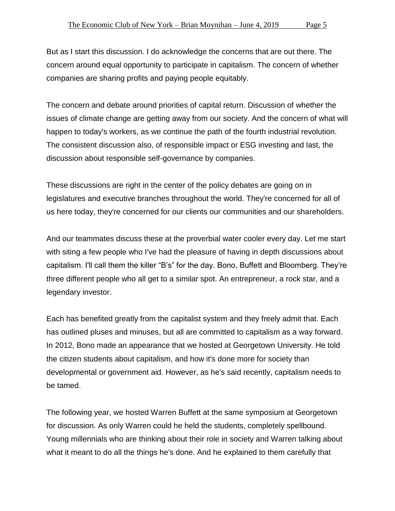But as I start this discussion. I do acknowledge the concerns that are out there. The concern around equal opportunity to participate in capitalism. The concern of whether companies are sharing profits and paying people equitably.

The concern and debate around priorities of capital return. Discussion of whether the issues of climate change are getting away from our society. And the concern of what will happen to today's workers, as we continue the path of the fourth industrial revolution. The consistent discussion also, of responsible impact or ESG investing and last, the discussion about responsible self-governance by companies.

These discussions are right in the center of the policy debates are going on in legislatures and executive branches throughout the world. They're concerned for all of us here today, they're concerned for our clients our communities and our shareholders.

And our teammates discuss these at the proverbial water cooler every day. Let me start with siting a few people who I've had the pleasure of having in depth discussions about capitalism. I'll call them the killer "B's" for the day. Bono, Buffett and Bloomberg. They're three different people who all get to a similar spot. An entrepreneur, a rock star, and a legendary investor.

Each has benefited greatly from the capitalist system and they freely admit that. Each has outlined pluses and minuses, but all are committed to capitalism as a way forward. In 2012, Bono made an appearance that we hosted at Georgetown University. He told the citizen students about capitalism, and how it's done more for society than developmental or government aid. However, as he's said recently, capitalism needs to be tamed.

The following year, we hosted Warren Buffett at the same symposium at Georgetown for discussion. As only Warren could he held the students, completely spellbound. Young millennials who are thinking about their role in society and Warren talking about what it meant to do all the things he's done. And he explained to them carefully that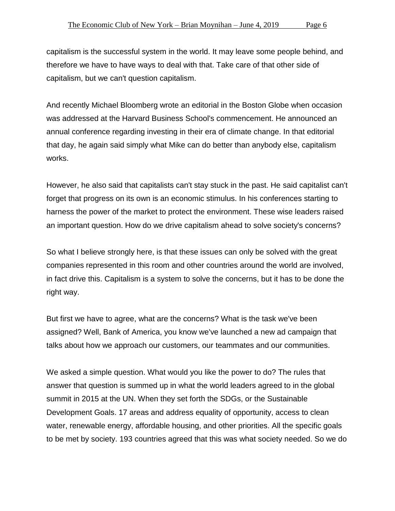capitalism is the successful system in the world. It may leave some people behind, and therefore we have to have ways to deal with that. Take care of that other side of capitalism, but we can't question capitalism.

And recently Michael Bloomberg wrote an editorial in the Boston Globe when occasion was addressed at the Harvard Business School's commencement. He announced an annual conference regarding investing in their era of climate change. In that editorial that day, he again said simply what Mike can do better than anybody else, capitalism works.

However, he also said that capitalists can't stay stuck in the past. He said capitalist can't forget that progress on its own is an economic stimulus. In his conferences starting to harness the power of the market to protect the environment. These wise leaders raised an important question. How do we drive capitalism ahead to solve society's concerns?

So what I believe strongly here, is that these issues can only be solved with the great companies represented in this room and other countries around the world are involved, in fact drive this. Capitalism is a system to solve the concerns, but it has to be done the right way.

But first we have to agree, what are the concerns? What is the task we've been assigned? Well, Bank of America, you know we've launched a new ad campaign that talks about how we approach our customers, our teammates and our communities.

We asked a simple question. What would you like the power to do? The rules that answer that question is summed up in what the world leaders agreed to in the global summit in 2015 at the UN. When they set forth the SDGs, or the Sustainable Development Goals. 17 areas and address equality of opportunity, access to clean water, renewable energy, affordable housing, and other priorities. All the specific goals to be met by society. 193 countries agreed that this was what society needed. So we do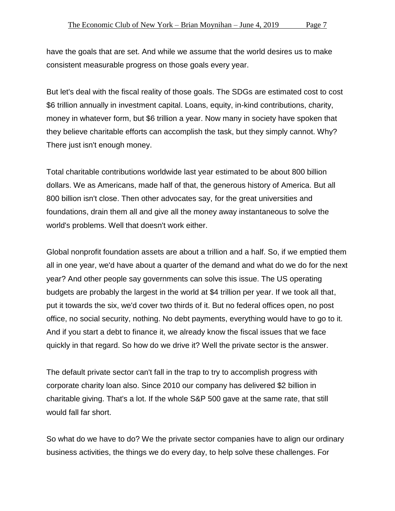have the goals that are set. And while we assume that the world desires us to make consistent measurable progress on those goals every year.

But let's deal with the fiscal reality of those goals. The SDGs are estimated cost to cost \$6 trillion annually in investment capital. Loans, equity, in-kind contributions, charity, money in whatever form, but \$6 trillion a year. Now many in society have spoken that they believe charitable efforts can accomplish the task, but they simply cannot. Why? There just isn't enough money.

Total charitable contributions worldwide last year estimated to be about 800 billion dollars. We as Americans, made half of that, the generous history of America. But all 800 billion isn't close. Then other advocates say, for the great universities and foundations, drain them all and give all the money away instantaneous to solve the world's problems. Well that doesn't work either.

Global nonprofit foundation assets are about a trillion and a half. So, if we emptied them all in one year, we'd have about a quarter of the demand and what do we do for the next year? And other people say governments can solve this issue. The US operating budgets are probably the largest in the world at \$4 trillion per year. If we took all that, put it towards the six, we'd cover two thirds of it. But no federal offices open, no post office, no social security, nothing. No debt payments, everything would have to go to it. And if you start a debt to finance it, we already know the fiscal issues that we face quickly in that regard. So how do we drive it? Well the private sector is the answer.

The default private sector can't fall in the trap to try to accomplish progress with corporate charity loan also. Since 2010 our company has delivered \$2 billion in charitable giving. That's a lot. If the whole S&P 500 gave at the same rate, that still would fall far short.

So what do we have to do? We the private sector companies have to align our ordinary business activities, the things we do every day, to help solve these challenges. For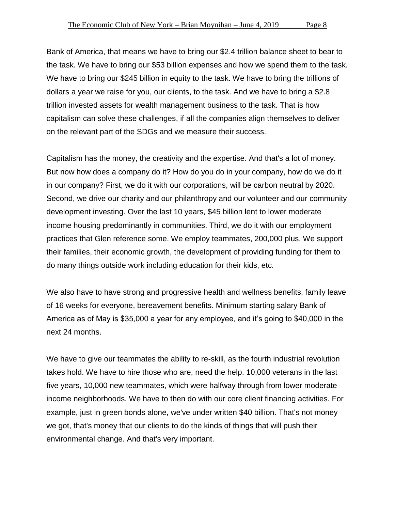Bank of America, that means we have to bring our \$2.4 trillion balance sheet to bear to the task. We have to bring our \$53 billion expenses and how we spend them to the task. We have to bring our \$245 billion in equity to the task. We have to bring the trillions of dollars a year we raise for you, our clients, to the task. And we have to bring a \$2.8 trillion invested assets for wealth management business to the task. That is how capitalism can solve these challenges, if all the companies align themselves to deliver on the relevant part of the SDGs and we measure their success.

Capitalism has the money, the creativity and the expertise. And that's a lot of money. But now how does a company do it? How do you do in your company, how do we do it in our company? First, we do it with our corporations, will be carbon neutral by 2020. Second, we drive our charity and our philanthropy and our volunteer and our community development investing. Over the last 10 years, \$45 billion lent to lower moderate income housing predominantly in communities. Third, we do it with our employment practices that Glen reference some. We employ teammates, 200,000 plus. We support their families, their economic growth, the development of providing funding for them to do many things outside work including education for their kids, etc.

We also have to have strong and progressive health and wellness benefits, family leave of 16 weeks for everyone, bereavement benefits. Minimum starting salary Bank of America as of May is \$35,000 a year for any employee, and it's going to \$40,000 in the next 24 months.

We have to give our teammates the ability to re-skill, as the fourth industrial revolution takes hold. We have to hire those who are, need the help. 10,000 veterans in the last five years, 10,000 new teammates, which were halfway through from lower moderate income neighborhoods. We have to then do with our core client financing activities. For example, just in green bonds alone, we've under written \$40 billion. That's not money we got, that's money that our clients to do the kinds of things that will push their environmental change. And that's very important.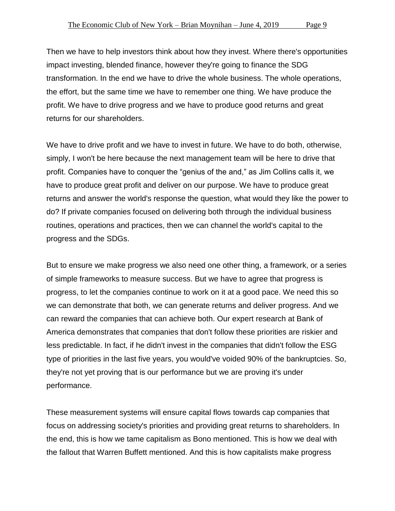Then we have to help investors think about how they invest. Where there's opportunities impact investing, blended finance, however they're going to finance the SDG transformation. In the end we have to drive the whole business. The whole operations, the effort, but the same time we have to remember one thing. We have produce the profit. We have to drive progress and we have to produce good returns and great returns for our shareholders.

We have to drive profit and we have to invest in future. We have to do both, otherwise, simply, I won't be here because the next management team will be here to drive that profit. Companies have to conquer the "genius of the and," as Jim Collins calls it, we have to produce great profit and deliver on our purpose. We have to produce great returns and answer the world's response the question, what would they like the power to do? If private companies focused on delivering both through the individual business routines, operations and practices, then we can channel the world's capital to the progress and the SDGs.

But to ensure we make progress we also need one other thing, a framework, or a series of simple frameworks to measure success. But we have to agree that progress is progress, to let the companies continue to work on it at a good pace. We need this so we can demonstrate that both, we can generate returns and deliver progress. And we can reward the companies that can achieve both. Our expert research at Bank of America demonstrates that companies that don't follow these priorities are riskier and less predictable. In fact, if he didn't invest in the companies that didn't follow the ESG type of priorities in the last five years, you would've voided 90% of the bankruptcies. So, they're not yet proving that is our performance but we are proving it's under performance.

These measurement systems will ensure capital flows towards cap companies that focus on addressing society's priorities and providing great returns to shareholders. In the end, this is how we tame capitalism as Bono mentioned. This is how we deal with the fallout that Warren Buffett mentioned. And this is how capitalists make progress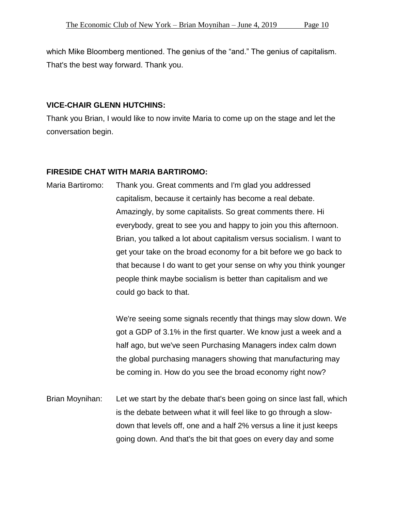which Mike Bloomberg mentioned. The genius of the "and." The genius of capitalism. That's the best way forward. Thank you.

#### **VICE-CHAIR GLENN HUTCHINS:**

Thank you Brian, I would like to now invite Maria to come up on the stage and let the conversation begin.

#### **FIRESIDE CHAT WITH MARIA BARTIROMO:**

Maria Bartiromo: Thank you. Great comments and I'm glad you addressed capitalism, because it certainly has become a real debate. Amazingly, by some capitalists. So great comments there. Hi everybody, great to see you and happy to join you this afternoon. Brian, you talked a lot about capitalism versus socialism. I want to get your take on the broad economy for a bit before we go back to that because I do want to get your sense on why you think younger people think maybe socialism is better than capitalism and we could go back to that.

> We're seeing some signals recently that things may slow down. We got a GDP of 3.1% in the first quarter. We know just a week and a half ago, but we've seen Purchasing Managers index calm down the global purchasing managers showing that manufacturing may be coming in. How do you see the broad economy right now?

Brian Moynihan: Let we start by the debate that's been going on since last fall, which is the debate between what it will feel like to go through a slowdown that levels off, one and a half 2% versus a line it just keeps going down. And that's the bit that goes on every day and some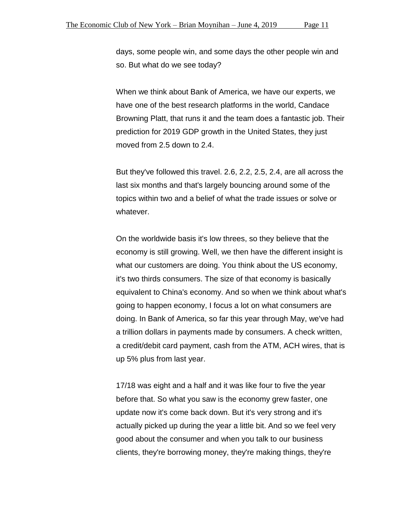days, some people win, and some days the other people win and so. But what do we see today?

When we think about Bank of America, we have our experts, we have one of the best research platforms in the world, Candace Browning Platt, that runs it and the team does a fantastic job. Their prediction for 2019 GDP growth in the United States, they just moved from 2.5 down to 2.4.

But they've followed this travel. 2.6, 2.2, 2.5, 2.4, are all across the last six months and that's largely bouncing around some of the topics within two and a belief of what the trade issues or solve or whatever.

On the worldwide basis it's low threes, so they believe that the economy is still growing. Well, we then have the different insight is what our customers are doing. You think about the US economy, it's two thirds consumers. The size of that economy is basically equivalent to China's economy. And so when we think about what's going to happen economy, I focus a lot on what consumers are doing. In Bank of America, so far this year through May, we've had a trillion dollars in payments made by consumers. A check written, a credit/debit card payment, cash from the ATM, ACH wires, that is up 5% plus from last year.

17/18 was eight and a half and it was like four to five the year before that. So what you saw is the economy grew faster, one update now it's come back down. But it's very strong and it's actually picked up during the year a little bit. And so we feel very good about the consumer and when you talk to our business clients, they're borrowing money, they're making things, they're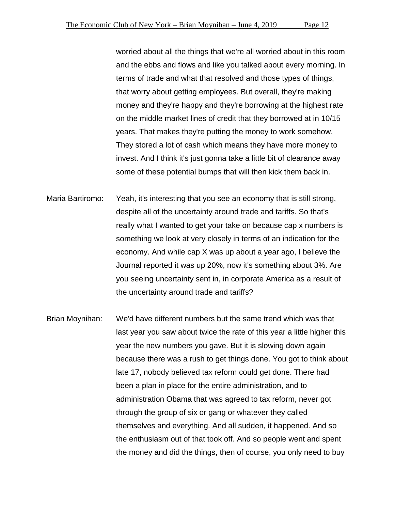worried about all the things that we're all worried about in this room and the ebbs and flows and like you talked about every morning. In terms of trade and what that resolved and those types of things, that worry about getting employees. But overall, they're making money and they're happy and they're borrowing at the highest rate on the middle market lines of credit that they borrowed at in 10/15 years. That makes they're putting the money to work somehow. They stored a lot of cash which means they have more money to invest. And I think it's just gonna take a little bit of clearance away some of these potential bumps that will then kick them back in.

- Maria Bartiromo: Yeah, it's interesting that you see an economy that is still strong, despite all of the uncertainty around trade and tariffs. So that's really what I wanted to get your take on because cap x numbers is something we look at very closely in terms of an indication for the economy. And while cap X was up about a year ago, I believe the Journal reported it was up 20%, now it's something about 3%. Are you seeing uncertainty sent in, in corporate America as a result of the uncertainty around trade and tariffs?
- Brian Moynihan: We'd have different numbers but the same trend which was that last year you saw about twice the rate of this year a little higher this year the new numbers you gave. But it is slowing down again because there was a rush to get things done. You got to think about late 17, nobody believed tax reform could get done. There had been a plan in place for the entire administration, and to administration Obama that was agreed to tax reform, never got through the group of six or gang or whatever they called themselves and everything. And all sudden, it happened. And so the enthusiasm out of that took off. And so people went and spent the money and did the things, then of course, you only need to buy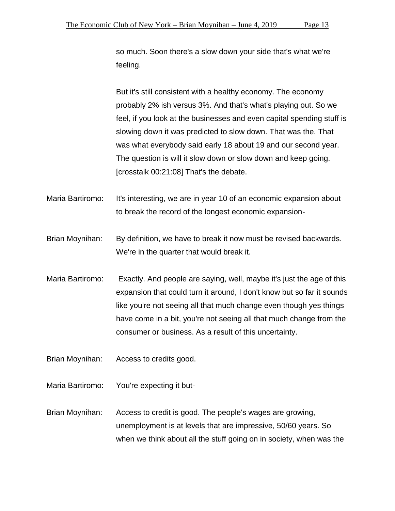so much. Soon there's a slow down your side that's what we're feeling.

But it's still consistent with a healthy economy. The economy probably 2% ish versus 3%. And that's what's playing out. So we feel, if you look at the businesses and even capital spending stuff is slowing down it was predicted to slow down. That was the. That was what everybody said early 18 about 19 and our second year. The question is will it slow down or slow down and keep going. [crosstalk 00:21:08] That's the debate.

Maria Bartiromo: It's interesting, we are in year 10 of an economic expansion about to break the record of the longest economic expansion-

Brian Moynihan: By definition, we have to break it now must be revised backwards. We're in the quarter that would break it.

Maria Bartiromo: Exactly. And people are saying, well, maybe it's just the age of this expansion that could turn it around, I don't know but so far it sounds like you're not seeing all that much change even though yes things have come in a bit, you're not seeing all that much change from the consumer or business. As a result of this uncertainty.

Brian Moynihan: Access to credits good.

Maria Bartiromo: You're expecting it but-

Brian Moynihan: Access to credit is good. The people's wages are growing, unemployment is at levels that are impressive, 50/60 years. So when we think about all the stuff going on in society, when was the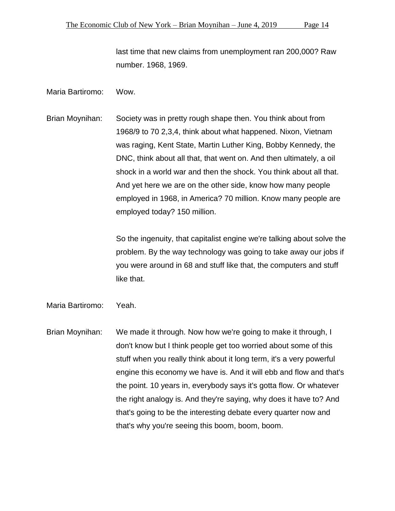last time that new claims from unemployment ran 200,000? Raw number. 1968, 1969.

#### Maria Bartiromo: Wow.

Brian Moynihan: Society was in pretty rough shape then. You think about from 1968/9 to 70 2,3,4, think about what happened. Nixon, Vietnam was raging, Kent State, Martin Luther King, Bobby Kennedy, the DNC, think about all that, that went on. And then ultimately, a oil shock in a world war and then the shock. You think about all that. And yet here we are on the other side, know how many people employed in 1968, in America? 70 million. Know many people are employed today? 150 million.

> So the ingenuity, that capitalist engine we're talking about solve the problem. By the way technology was going to take away our jobs if you were around in 68 and stuff like that, the computers and stuff like that.

- Maria Bartiromo: Yeah.
- Brian Moynihan: We made it through. Now how we're going to make it through, I don't know but I think people get too worried about some of this stuff when you really think about it long term, it's a very powerful engine this economy we have is. And it will ebb and flow and that's the point. 10 years in, everybody says it's gotta flow. Or whatever the right analogy is. And they're saying, why does it have to? And that's going to be the interesting debate every quarter now and that's why you're seeing this boom, boom, boom.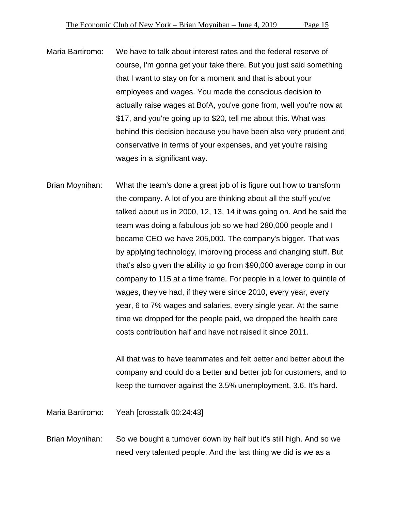Maria Bartiromo: We have to talk about interest rates and the federal reserve of course, I'm gonna get your take there. But you just said something that I want to stay on for a moment and that is about your employees and wages. You made the conscious decision to actually raise wages at BofA, you've gone from, well you're now at \$17, and you're going up to \$20, tell me about this. What was behind this decision because you have been also very prudent and conservative in terms of your expenses, and yet you're raising wages in a significant way.

Brian Moynihan: What the team's done a great job of is figure out how to transform the company. A lot of you are thinking about all the stuff you've talked about us in 2000, 12, 13, 14 it was going on. And he said the team was doing a fabulous job so we had 280,000 people and I became CEO we have 205,000. The company's bigger. That was by applying technology, improving process and changing stuff. But that's also given the ability to go from \$90,000 average comp in our company to 115 at a time frame. For people in a lower to quintile of wages, they've had, if they were since 2010, every year, every year, 6 to 7% wages and salaries, every single year. At the same time we dropped for the people paid, we dropped the health care costs contribution half and have not raised it since 2011.

> All that was to have teammates and felt better and better about the company and could do a better and better job for customers, and to keep the turnover against the 3.5% unemployment, 3.6. It's hard.

Maria Bartiromo: Yeah [crosstalk 00:24:43]

Brian Moynihan: So we bought a turnover down by half but it's still high. And so we need very talented people. And the last thing we did is we as a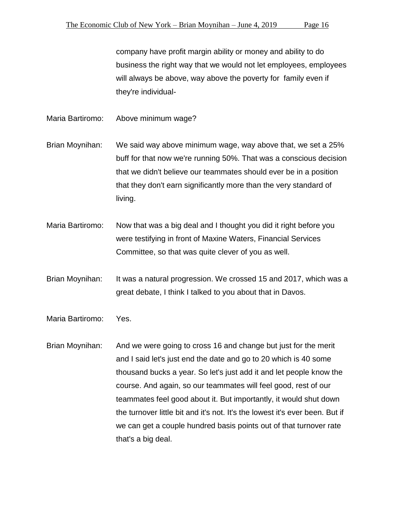company have profit margin ability or money and ability to do business the right way that we would not let employees, employees will always be above, way above the poverty for family even if they're individual-

Maria Bartiromo: Above minimum wage?

Brian Moynihan: We said way above minimum wage, way above that, we set a 25% buff for that now we're running 50%. That was a conscious decision that we didn't believe our teammates should ever be in a position that they don't earn significantly more than the very standard of living.

Maria Bartiromo: Now that was a big deal and I thought you did it right before you were testifying in front of Maxine Waters, Financial Services Committee, so that was quite clever of you as well.

Brian Moynihan: It was a natural progression. We crossed 15 and 2017, which was a great debate, I think I talked to you about that in Davos.

Maria Bartiromo: Yes.

Brian Moynihan: And we were going to cross 16 and change but just for the merit and I said let's just end the date and go to 20 which is 40 some thousand bucks a year. So let's just add it and let people know the course. And again, so our teammates will feel good, rest of our teammates feel good about it. But importantly, it would shut down the turnover little bit and it's not. It's the lowest it's ever been. But if we can get a couple hundred basis points out of that turnover rate that's a big deal.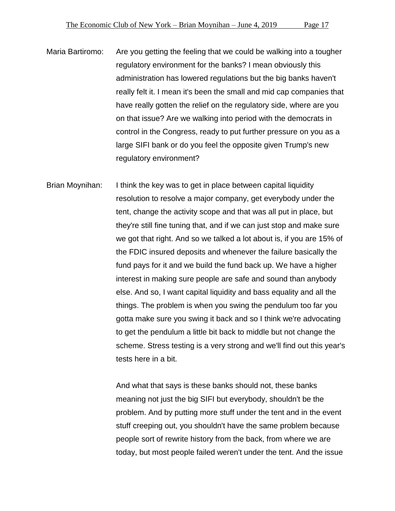Maria Bartiromo: Are you getting the feeling that we could be walking into a tougher regulatory environment for the banks? I mean obviously this administration has lowered regulations but the big banks haven't really felt it. I mean it's been the small and mid cap companies that have really gotten the relief on the regulatory side, where are you on that issue? Are we walking into period with the democrats in control in the Congress, ready to put further pressure on you as a large SIFI bank or do you feel the opposite given Trump's new regulatory environment?

Brian Moynihan: I think the key was to get in place between capital liquidity resolution to resolve a major company, get everybody under the tent, change the activity scope and that was all put in place, but they're still fine tuning that, and if we can just stop and make sure we got that right. And so we talked a lot about is, if you are 15% of the FDIC insured deposits and whenever the failure basically the fund pays for it and we build the fund back up. We have a higher interest in making sure people are safe and sound than anybody else. And so, I want capital liquidity and bass equality and all the things. The problem is when you swing the pendulum too far you gotta make sure you swing it back and so I think we're advocating to get the pendulum a little bit back to middle but not change the scheme. Stress testing is a very strong and we'll find out this year's tests here in a bit.

> And what that says is these banks should not, these banks meaning not just the big SIFI but everybody, shouldn't be the problem. And by putting more stuff under the tent and in the event stuff creeping out, you shouldn't have the same problem because people sort of rewrite history from the back, from where we are today, but most people failed weren't under the tent. And the issue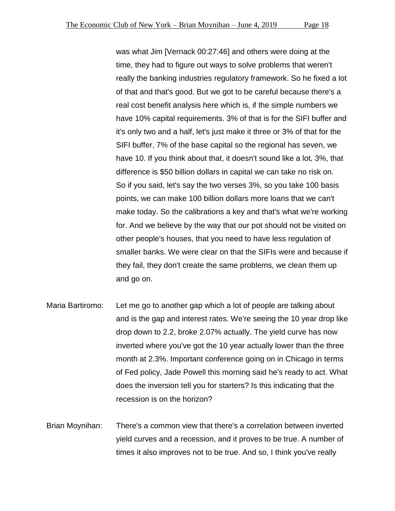was what Jim [Vernack 00:27:46] and others were doing at the time, they had to figure out ways to solve problems that weren't really the banking industries regulatory framework. So he fixed a lot of that and that's good. But we got to be careful because there's a real cost benefit analysis here which is, if the simple numbers we have 10% capital requirements. 3% of that is for the SIFI buffer and it's only two and a half, let's just make it three or 3% of that for the SIFI buffer, 7% of the base capital so the regional has seven, we have 10. If you think about that, it doesn't sound like a lot, 3%, that difference is \$50 billion dollars in capital we can take no risk on. So if you said, let's say the two verses 3%, so you take 100 basis points, we can make 100 billion dollars more loans that we can't make today. So the calibrations a key and that's what we're working for. And we believe by the way that our pot should not be visited on other people's houses, that you need to have less regulation of smaller banks. We were clear on that the SIFIs were and because if they fail, they don't create the same problems, we clean them up and go on.

- Maria Bartiromo: Let me go to another gap which a lot of people are talking about and is the gap and interest rates. We're seeing the 10 year drop like drop down to 2.2, broke 2.07% actually. The yield curve has now inverted where you've got the 10 year actually lower than the three month at 2.3%. Important conference going on in Chicago in terms of Fed policy, Jade Powell this morning said he's ready to act. What does the inversion tell you for starters? Is this indicating that the recession is on the horizon?
- Brian Moynihan: There's a common view that there's a correlation between inverted yield curves and a recession, and it proves to be true. A number of times it also improves not to be true. And so, I think you've really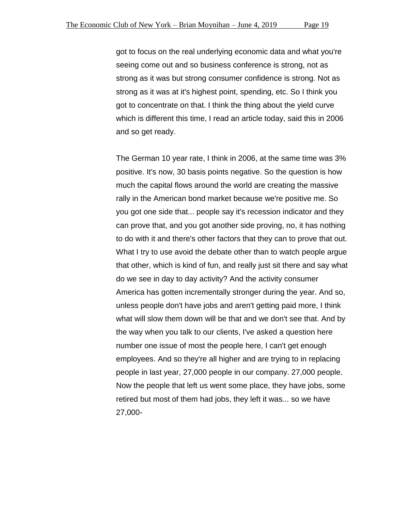got to focus on the real underlying economic data and what you're seeing come out and so business conference is strong, not as strong as it was but strong consumer confidence is strong. Not as strong as it was at it's highest point, spending, etc. So I think you got to concentrate on that. I think the thing about the yield curve which is different this time, I read an article today, said this in 2006 and so get ready.

The German 10 year rate, I think in 2006, at the same time was 3% positive. It's now, 30 basis points negative. So the question is how much the capital flows around the world are creating the massive rally in the American bond market because we're positive me. So you got one side that... people say it's recession indicator and they can prove that, and you got another side proving, no, it has nothing to do with it and there's other factors that they can to prove that out. What I try to use avoid the debate other than to watch people argue that other, which is kind of fun, and really just sit there and say what do we see in day to day activity? And the activity consumer America has gotten incrementally stronger during the year. And so, unless people don't have jobs and aren't getting paid more, I think what will slow them down will be that and we don't see that. And by the way when you talk to our clients, I've asked a question here number one issue of most the people here, I can't get enough employees. And so they're all higher and are trying to in replacing people in last year, 27,000 people in our company. 27,000 people. Now the people that left us went some place, they have jobs, some retired but most of them had jobs, they left it was... so we have 27,000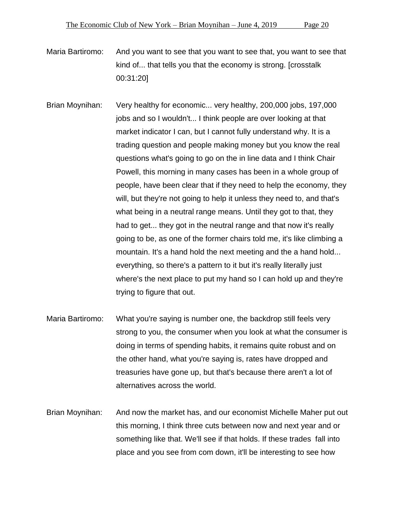Maria Bartiromo: And you want to see that you want to see that, you want to see that kind of... that tells you that the economy is strong. [crosstalk 00:31:20]

Brian Moynihan: Very healthy for economic... very healthy, 200,000 jobs, 197,000 jobs and so I wouldn't... I think people are over looking at that market indicator I can, but I cannot fully understand why. It is a trading question and people making money but you know the real questions what's going to go on the in line data and I think Chair Powell, this morning in many cases has been in a whole group of people, have been clear that if they need to help the economy, they will, but they're not going to help it unless they need to, and that's what being in a neutral range means. Until they got to that, they had to get... they got in the neutral range and that now it's really going to be, as one of the former chairs told me, it's like climbing a mountain. It's a hand hold the next meeting and the a hand hold... everything, so there's a pattern to it but it's really literally just where's the next place to put my hand so I can hold up and they're trying to figure that out.

- Maria Bartiromo: What you're saying is number one, the backdrop still feels very strong to you, the consumer when you look at what the consumer is doing in terms of spending habits, it remains quite robust and on the other hand, what you're saying is, rates have dropped and treasuries have gone up, but that's because there aren't a lot of alternatives across the world.
- Brian Moynihan: And now the market has, and our economist Michelle Maher put out this morning, I think three cuts between now and next year and or something like that. We'll see if that holds. If these trades fall into place and you see from com down, it'll be interesting to see how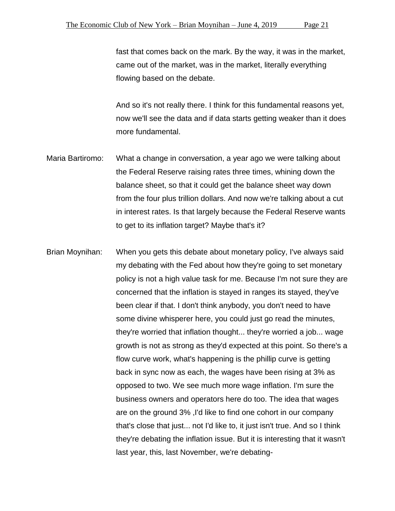fast that comes back on the mark. By the way, it was in the market, came out of the market, was in the market, literally everything flowing based on the debate.

And so it's not really there. I think for this fundamental reasons yet, now we'll see the data and if data starts getting weaker than it does more fundamental.

- Maria Bartiromo: What a change in conversation, a year ago we were talking about the Federal Reserve raising rates three times, whining down the balance sheet, so that it could get the balance sheet way down from the four plus trillion dollars. And now we're talking about a cut in interest rates. Is that largely because the Federal Reserve wants to get to its inflation target? Maybe that's it?
- Brian Moynihan: When you gets this debate about monetary policy, I've always said my debating with the Fed about how they're going to set monetary policy is not a high value task for me. Because I'm not sure they are concerned that the inflation is stayed in ranges its stayed, they've been clear if that. I don't think anybody, you don't need to have some divine whisperer here, you could just go read the minutes, they're worried that inflation thought... they're worried a job... wage growth is not as strong as they'd expected at this point. So there's a flow curve work, what's happening is the phillip curve is getting back in sync now as each, the wages have been rising at 3% as opposed to two. We see much more wage inflation. I'm sure the business owners and operators here do too. The idea that wages are on the ground 3% ,I'd like to find one cohort in our company that's close that just... not I'd like to, it just isn't true. And so I think they're debating the inflation issue. But it is interesting that it wasn't last year, this, last November, we're debating-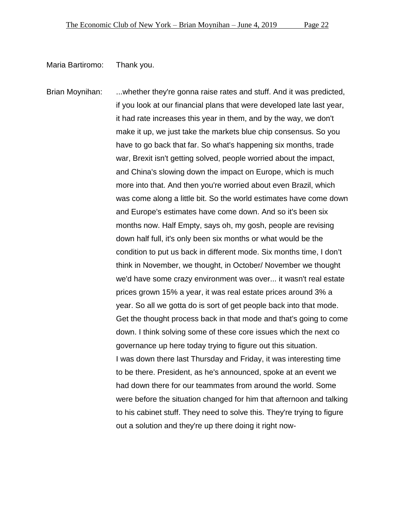Maria Bartiromo: Thank you.

Brian Moynihan: ...whether they're gonna raise rates and stuff. And it was predicted, if you look at our financial plans that were developed late last year, it had rate increases this year in them, and by the way, we don't make it up, we just take the markets blue chip consensus. So you have to go back that far. So what's happening six months, trade war, Brexit isn't getting solved, people worried about the impact, and China's slowing down the impact on Europe, which is much more into that. And then you're worried about even Brazil, which was come along a little bit. So the world estimates have come down and Europe's estimates have come down. And so it's been six months now. Half Empty, says oh, my gosh, people are revising down half full, it's only been six months or what would be the condition to put us back in different mode. Six months time, I don't think in November, we thought, in October/ November we thought we'd have some crazy environment was over... it wasn't real estate prices grown 15% a year, it was real estate prices around 3% a year. So all we gotta do is sort of get people back into that mode. Get the thought process back in that mode and that's going to come down. I think solving some of these core issues which the next co governance up here today trying to figure out this situation. I was down there last Thursday and Friday, it was interesting time to be there. President, as he's announced, spoke at an event we had down there for our teammates from around the world. Some were before the situation changed for him that afternoon and talking to his cabinet stuff. They need to solve this. They're trying to figure out a solution and they're up there doing it right now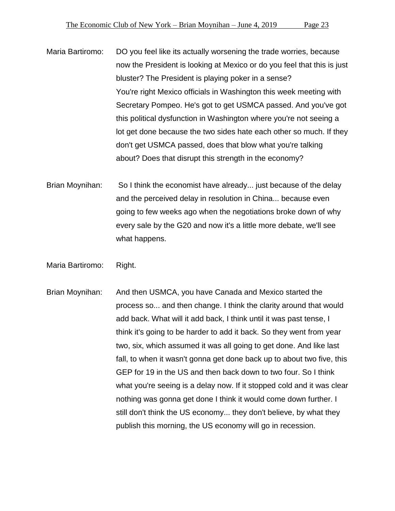Maria Bartiromo: DO you feel like its actually worsening the trade worries, because now the President is looking at Mexico or do you feel that this is just bluster? The President is playing poker in a sense? You're right Mexico officials in Washington this week meeting with Secretary Pompeo. He's got to get USMCA passed. And you've got this political dysfunction in Washington where you're not seeing a lot get done because the two sides hate each other so much. If they don't get USMCA passed, does that blow what you're talking about? Does that disrupt this strength in the economy?

- Brian Moynihan: So I think the economist have already... just because of the delay and the perceived delay in resolution in China... because even going to few weeks ago when the negotiations broke down of why every sale by the G20 and now it's a little more debate, we'll see what happens.
- Maria Bartiromo: Right.
- Brian Moynihan: And then USMCA, you have Canada and Mexico started the process so... and then change. I think the clarity around that would add back. What will it add back, I think until it was past tense, I think it's going to be harder to add it back. So they went from year two, six, which assumed it was all going to get done. And like last fall, to when it wasn't gonna get done back up to about two five, this GEP for 19 in the US and then back down to two four. So I think what you're seeing is a delay now. If it stopped cold and it was clear nothing was gonna get done I think it would come down further. I still don't think the US economy... they don't believe, by what they publish this morning, the US economy will go in recession.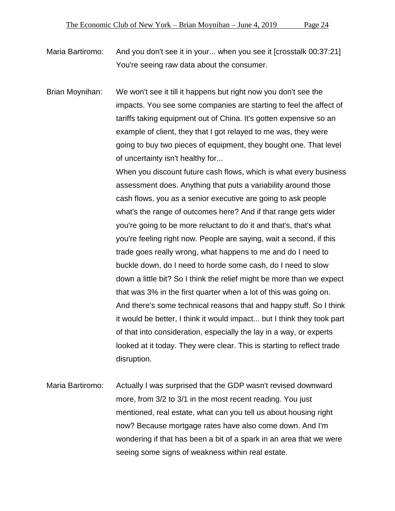Maria Bartiromo: And you don't see it in your... when you see it [crosstalk 00:37:21] You're seeing raw data about the consumer.

Brian Moynihan: We won't see it till it happens but right now you don't see the impacts. You see some companies are starting to feel the affect of tariffs taking equipment out of China. It's gotten expensive so an example of client, they that I got relayed to me was, they were going to buy two pieces of equipment, they bought one. That level of uncertainty isn't healthy for...

> When you discount future cash flows, which is what every business assessment does. Anything that puts a variability around those cash flows, you as a senior executive are going to ask people what's the range of outcomes here? And if that range gets wider you're going to be more reluctant to do it and that's, that's what you're feeling right now. People are saying, wait a second, if this trade goes really wrong, what happens to me and do I need to buckle down, do I need to horde some cash, do I need to slow down a little bit? So I think the relief might be more than we expect that was 3% in the first quarter when a lot of this was going on. And there's some technical reasons that and happy stuff. So I think it would be better, I think it would impact... but I think they took part of that into consideration, especially the lay in a way, or experts looked at it today. They were clear. This is starting to reflect trade disruption.

Maria Bartiromo: Actually I was surprised that the GDP wasn't revised downward more, from 3/2 to 3/1 in the most recent reading. You just mentioned, real estate, what can you tell us about housing right now? Because mortgage rates have also come down. And I'm wondering if that has been a bit of a spark in an area that we were seeing some signs of weakness within real estate.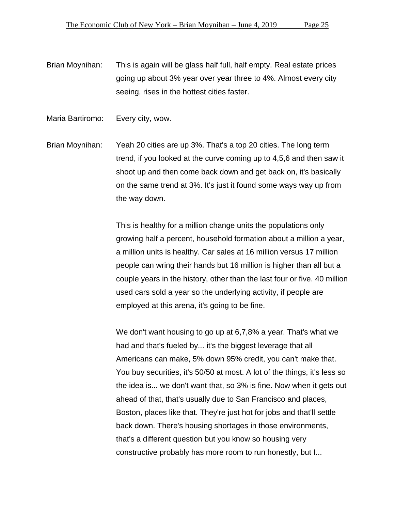- Brian Moynihan: This is again will be glass half full, half empty. Real estate prices going up about 3% year over year three to 4%. Almost every city seeing, rises in the hottest cities faster.
- Maria Bartiromo: Every city, wow.
- Brian Moynihan: Yeah 20 cities are up 3%. That's a top 20 cities. The long term trend, if you looked at the curve coming up to 4,5,6 and then saw it shoot up and then come back down and get back on, it's basically on the same trend at 3%. It's just it found some ways way up from the way down.

This is healthy for a million change units the populations only growing half a percent, household formation about a million a year, a million units is healthy. Car sales at 16 million versus 17 million people can wring their hands but 16 million is higher than all but a couple years in the history, other than the last four or five. 40 million used cars sold a year so the underlying activity, if people are employed at this arena, it's going to be fine.

We don't want housing to go up at 6,7,8% a year. That's what we had and that's fueled by... it's the biggest leverage that all Americans can make, 5% down 95% credit, you can't make that. You buy securities, it's 50/50 at most. A lot of the things, it's less so the idea is... we don't want that, so 3% is fine. Now when it gets out ahead of that, that's usually due to San Francisco and places, Boston, places like that. They're just hot for jobs and that'll settle back down. There's housing shortages in those environments, that's a different question but you know so housing very constructive probably has more room to run honestly, but I...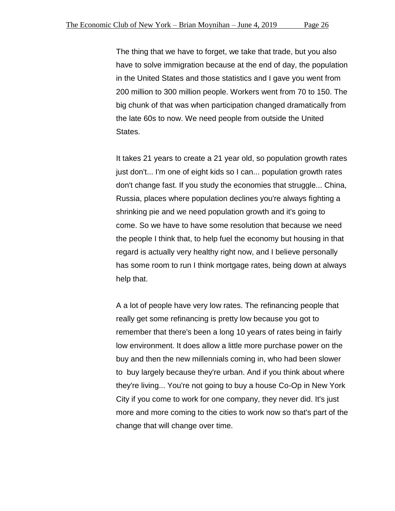The thing that we have to forget, we take that trade, but you also have to solve immigration because at the end of day, the population in the United States and those statistics and I gave you went from 200 million to 300 million people. Workers went from 70 to 150. The big chunk of that was when participation changed dramatically from the late 60s to now. We need people from outside the United States.

It takes 21 years to create a 21 year old, so population growth rates just don't... I'm one of eight kids so I can... population growth rates don't change fast. If you study the economies that struggle... China, Russia, places where population declines you're always fighting a shrinking pie and we need population growth and it's going to come. So we have to have some resolution that because we need the people I think that, to help fuel the economy but housing in that regard is actually very healthy right now, and I believe personally has some room to run I think mortgage rates, being down at always help that.

A a lot of people have very low rates. The refinancing people that really get some refinancing is pretty low because you got to remember that there's been a long 10 years of rates being in fairly low environment. It does allow a little more purchase power on the buy and then the new millennials coming in, who had been slower to buy largely because they're urban. And if you think about where they're living... You're not going to buy a house Co-Op in New York City if you come to work for one company, they never did. It's just more and more coming to the cities to work now so that's part of the change that will change over time.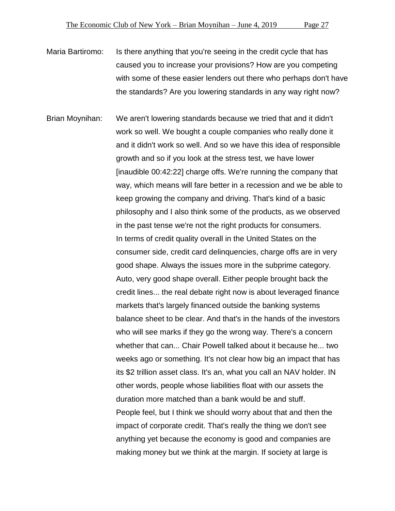Maria Bartiromo: Is there anything that you're seeing in the credit cycle that has caused you to increase your provisions? How are you competing with some of these easier lenders out there who perhaps don't have the standards? Are you lowering standards in any way right now?

Brian Moynihan: We aren't lowering standards because we tried that and it didn't work so well. We bought a couple companies who really done it and it didn't work so well. And so we have this idea of responsible growth and so if you look at the stress test, we have lower [inaudible 00:42:22] charge offs. We're running the company that way, which means will fare better in a recession and we be able to keep growing the company and driving. That's kind of a basic philosophy and I also think some of the products, as we observed in the past tense we're not the right products for consumers. In terms of credit quality overall in the United States on the consumer side, credit card delinquencies, charge offs are in very good shape. Always the issues more in the subprime category. Auto, very good shape overall. Either people brought back the credit lines... the real debate right now is about leveraged finance markets that's largely financed outside the banking systems balance sheet to be clear. And that's in the hands of the investors who will see marks if they go the wrong way. There's a concern whether that can... Chair Powell talked about it because he... two weeks ago or something. It's not clear how big an impact that has its \$2 trillion asset class. It's an, what you call an NAV holder. IN other words, people whose liabilities float with our assets the duration more matched than a bank would be and stuff. People feel, but I think we should worry about that and then the impact of corporate credit. That's really the thing we don't see anything yet because the economy is good and companies are making money but we think at the margin. If society at large is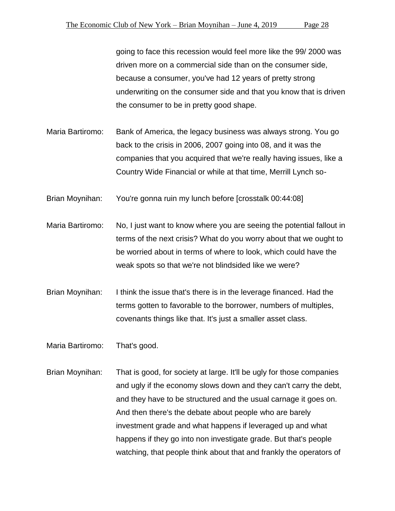going to face this recession would feel more like the 99/ 2000 was driven more on a commercial side than on the consumer side, because a consumer, you've had 12 years of pretty strong underwriting on the consumer side and that you know that is driven the consumer to be in pretty good shape.

- Maria Bartiromo: Bank of America, the legacy business was always strong. You go back to the crisis in 2006, 2007 going into 08, and it was the companies that you acquired that we're really having issues, like a Country Wide Financial or while at that time, Merrill Lynch so-
- Brian Moynihan: You're gonna ruin my lunch before [crosstalk 00:44:08]
- Maria Bartiromo: No, I just want to know where you are seeing the potential fallout in terms of the next crisis? What do you worry about that we ought to be worried about in terms of where to look, which could have the weak spots so that we're not blindsided like we were?
- Brian Moynihan: I think the issue that's there is in the leverage financed. Had the terms gotten to favorable to the borrower, numbers of multiples, covenants things like that. It's just a smaller asset class.
- Maria Bartiromo: That's good.
- Brian Moynihan: That is good, for society at large. It'll be ugly for those companies and ugly if the economy slows down and they can't carry the debt, and they have to be structured and the usual carnage it goes on. And then there's the debate about people who are barely investment grade and what happens if leveraged up and what happens if they go into non investigate grade. But that's people watching, that people think about that and frankly the operators of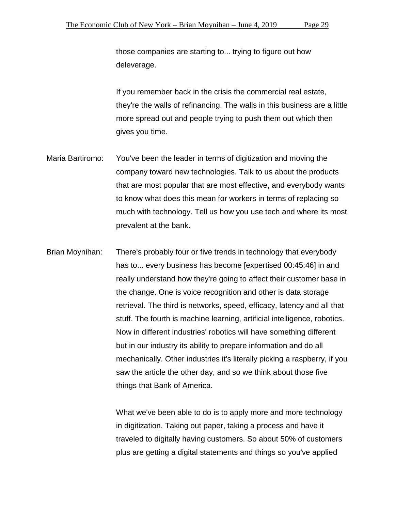those companies are starting to... trying to figure out how deleverage.

If you remember back in the crisis the commercial real estate, they're the walls of refinancing. The walls in this business are a little more spread out and people trying to push them out which then gives you time.

- Maria Bartiromo: You've been the leader in terms of digitization and moving the company toward new technologies. Talk to us about the products that are most popular that are most effective, and everybody wants to know what does this mean for workers in terms of replacing so much with technology. Tell us how you use tech and where its most prevalent at the bank.
- Brian Moynihan: There's probably four or five trends in technology that everybody has to... every business has become [expertised 00:45:46] in and really understand how they're going to affect their customer base in the change. One is voice recognition and other is data storage retrieval. The third is networks, speed, efficacy, latency and all that stuff. The fourth is machine learning, artificial intelligence, robotics. Now in different industries' robotics will have something different but in our industry its ability to prepare information and do all mechanically. Other industries it's literally picking a raspberry, if you saw the article the other day, and so we think about those five things that Bank of America.

What we've been able to do is to apply more and more technology in digitization. Taking out paper, taking a process and have it traveled to digitally having customers. So about 50% of customers plus are getting a digital statements and things so you've applied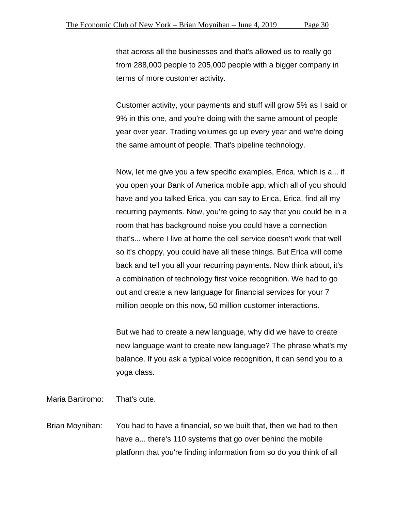that across all the businesses and that's allowed us to really go from 288,000 people to 205,000 people with a bigger company in terms of more customer activity.

Customer activity, your payments and stuff will grow 5% as I said or 9% in this one, and you're doing with the same amount of people year over year. Trading volumes go up every year and we're doing the same amount of people. That's pipeline technology.

Now, let me give you a few specific examples, Erica, which is a... if you open your Bank of America mobile app, which all of you should have and you talked Erica, you can say to Erica, Erica, find all my recurring payments. Now, you're going to say that you could be in a room that has background noise you could have a connection that's... where I live at home the cell service doesn't work that well so it's choppy, you could have all these things. But Erica will come back and tell you all your recurring payments. Now think about, it's a combination of technology first voice recognition. We had to go out and create a new language for financial services for your 7 million people on this now, 50 million customer interactions.

But we had to create a new language, why did we have to create new language want to create new language? The phrase what's my balance. If you ask a typical voice recognition, it can send you to a yoga class.

Maria Bartiromo: That's cute.

Brian Moynihan: You had to have a financial, so we built that, then we had to then have a... there's 110 systems that go over behind the mobile platform that you're finding information from so do you think of all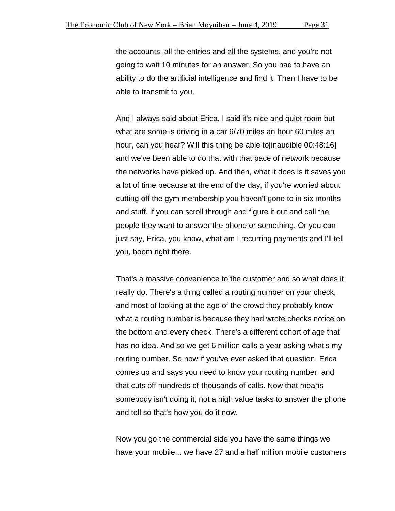the accounts, all the entries and all the systems, and you're not going to wait 10 minutes for an answer. So you had to have an ability to do the artificial intelligence and find it. Then I have to be able to transmit to you.

And I always said about Erica, I said it's nice and quiet room but what are some is driving in a car 6/70 miles an hour 60 miles an hour, can you hear? Will this thing be able to inaudible 00:48:16] and we've been able to do that with that pace of network because the networks have picked up. And then, what it does is it saves you a lot of time because at the end of the day, if you're worried about cutting off the gym membership you haven't gone to in six months and stuff, if you can scroll through and figure it out and call the people they want to answer the phone or something. Or you can just say, Erica, you know, what am I recurring payments and I'll tell you, boom right there.

That's a massive convenience to the customer and so what does it really do. There's a thing called a routing number on your check, and most of looking at the age of the crowd they probably know what a routing number is because they had wrote checks notice on the bottom and every check. There's a different cohort of age that has no idea. And so we get 6 million calls a year asking what's my routing number. So now if you've ever asked that question, Erica comes up and says you need to know your routing number, and that cuts off hundreds of thousands of calls. Now that means somebody isn't doing it, not a high value tasks to answer the phone and tell so that's how you do it now.

Now you go the commercial side you have the same things we have your mobile... we have 27 and a half million mobile customers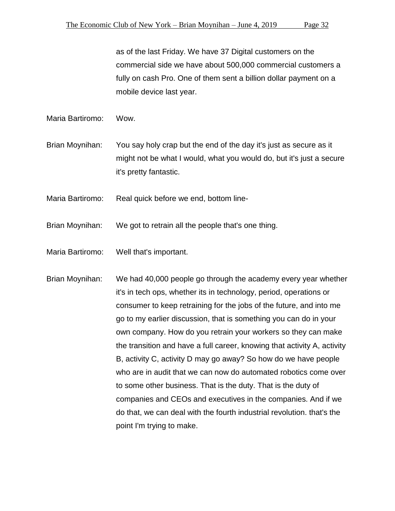as of the last Friday. We have 37 Digital customers on the commercial side we have about 500,000 commercial customers a fully on cash Pro. One of them sent a billion dollar payment on a mobile device last year.

Maria Bartiromo: Wow.

Brian Moynihan: You say holy crap but the end of the day it's just as secure as it might not be what I would, what you would do, but it's just a secure it's pretty fantastic.

Maria Bartiromo: Real quick before we end, bottom line-

Brian Moynihan: We got to retrain all the people that's one thing.

Maria Bartiromo: Well that's important.

Brian Moynihan: We had 40,000 people go through the academy every year whether it's in tech ops, whether its in technology, period, operations or consumer to keep retraining for the jobs of the future, and into me go to my earlier discussion, that is something you can do in your own company. How do you retrain your workers so they can make the transition and have a full career, knowing that activity A, activity B, activity C, activity D may go away? So how do we have people who are in audit that we can now do automated robotics come over to some other business. That is the duty. That is the duty of companies and CEOs and executives in the companies. And if we do that, we can deal with the fourth industrial revolution. that's the point I'm trying to make.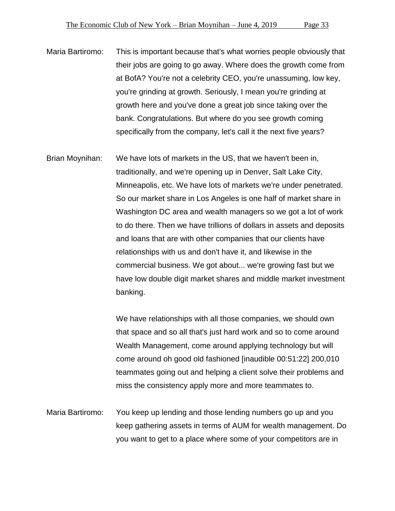- Maria Bartiromo: This is important because that's what worries people obviously that their jobs are going to go away. Where does the growth come from at BofA? You're not a celebrity CEO, you're unassuming, low key, you're grinding at growth. Seriously, I mean you're grinding at growth here and you've done a great job since taking over the bank. Congratulations. But where do you see growth coming specifically from the company, let's call it the next five years?
- Brian Moynihan: We have lots of markets in the US, that we haven't been in, traditionally, and we're opening up in Denver, Salt Lake City, Minneapolis, etc. We have lots of markets we're under penetrated. So our market share in Los Angeles is one half of market share in Washington DC area and wealth managers so we got a lot of work to do there. Then we have trillions of dollars in assets and deposits and loans that are with other companies that our clients have relationships with us and don't have it, and likewise in the commercial business. We got about... we're growing fast but we have low double digit market shares and middle market investment banking.

We have relationships with all those companies, we should own that space and so all that's just hard work and so to come around Wealth Management, come around applying technology but will come around oh good old fashioned [inaudible 00:51:22] 200,010 teammates going out and helping a client solve their problems and miss the consistency apply more and more teammates to.

Maria Bartiromo: You keep up lending and those lending numbers go up and you keep gathering assets in terms of AUM for wealth management. Do you want to get to a place where some of your competitors are in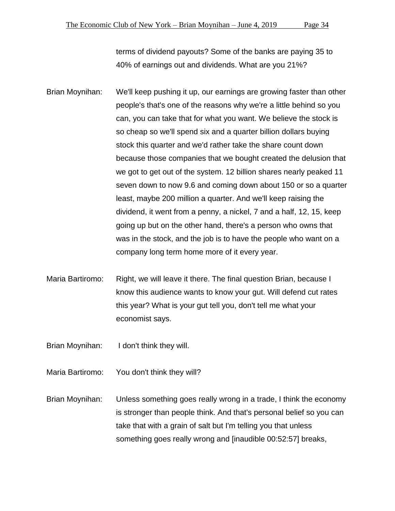terms of dividend payouts? Some of the banks are paying 35 to 40% of earnings out and dividends. What are you 21%?

Brian Moynihan: We'll keep pushing it up, our earnings are growing faster than other people's that's one of the reasons why we're a little behind so you can, you can take that for what you want. We believe the stock is so cheap so we'll spend six and a quarter billion dollars buying stock this quarter and we'd rather take the share count down because those companies that we bought created the delusion that we got to get out of the system. 12 billion shares nearly peaked 11 seven down to now 9.6 and coming down about 150 or so a quarter least, maybe 200 million a quarter. And we'll keep raising the dividend, it went from a penny, a nickel, 7 and a half, 12, 15, keep going up but on the other hand, there's a person who owns that was in the stock, and the job is to have the people who want on a company long term home more of it every year.

Maria Bartiromo: Right, we will leave it there. The final question Brian, because I know this audience wants to know your gut. Will defend cut rates this year? What is your gut tell you, don't tell me what your economist says.

Brian Moynihan: I don't think they will.

Maria Bartiromo: You don't think they will?

Brian Moynihan: Unless something goes really wrong in a trade, I think the economy is stronger than people think. And that's personal belief so you can take that with a grain of salt but I'm telling you that unless something goes really wrong and [inaudible 00:52:57] breaks,